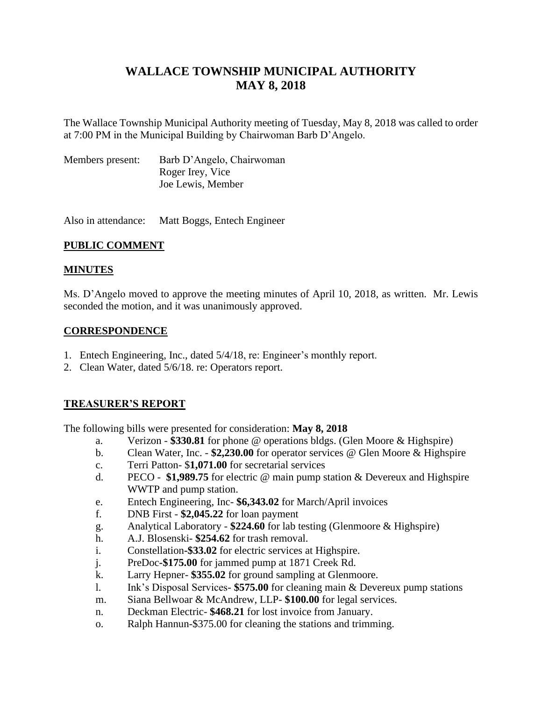# **WALLACE TOWNSHIP MUNICIPAL AUTHORITY MAY 8, 2018**

The Wallace Township Municipal Authority meeting of Tuesday, May 8, 2018 was called to order at 7:00 PM in the Municipal Building by Chairwoman Barb D'Angelo.

| Members present: | Barb D'Angelo, Chairwoman |
|------------------|---------------------------|
|                  | Roger Irey, Vice          |
|                  | Joe Lewis, Member         |

Also in attendance: Matt Boggs, Entech Engineer

# **PUBLIC COMMENT**

# **MINUTES**

Ms. D'Angelo moved to approve the meeting minutes of April 10, 2018, as written. Mr. Lewis seconded the motion, and it was unanimously approved.

### **CORRESPONDENCE**

- 1. Entech Engineering, Inc., dated 5/4/18, re: Engineer's monthly report.
- 2. Clean Water, dated 5/6/18. re: Operators report.

# **TREASURER'S REPORT**

The following bills were presented for consideration: **May 8, 2018**

- a. Verizon **\$330.81** for phone @ operations bldgs. (Glen Moore & Highspire)
- b. Clean Water, Inc. **\$2,230.00** for operator services @ Glen Moore & Highspire
- c. Terri Patton- \$**1,071.00** for secretarial services
- d. PECO **\$1,989.75** for electric @ main pump station & Devereux and Highspire WWTP and pump station.
- e. Entech Engineering, Inc- **\$6,343.02** for March/April invoices
- f. DNB First **\$2,045.22** for loan payment
- g. Analytical Laboratory **\$224.60** for lab testing (Glenmoore & Highspire)
- h. A.J. Blosenski- **\$254.62** for trash removal.
- i. Constellation**-\$33.02** for electric services at Highspire.
- j. PreDoc**-\$175.00** for jammed pump at 1871 Creek Rd.
- k. Larry Hepner- **\$355.02** for ground sampling at Glenmoore.
- l. Ink's Disposal Services- **\$575.00** for cleaning main & Devereux pump stations
- m. Siana Bellwoar & McAndrew, LLP- **\$100.00** for legal services.
- n. Deckman Electric- **\$468.21** for lost invoice from January.
- o. Ralph Hannun-\$375.00 for cleaning the stations and trimming.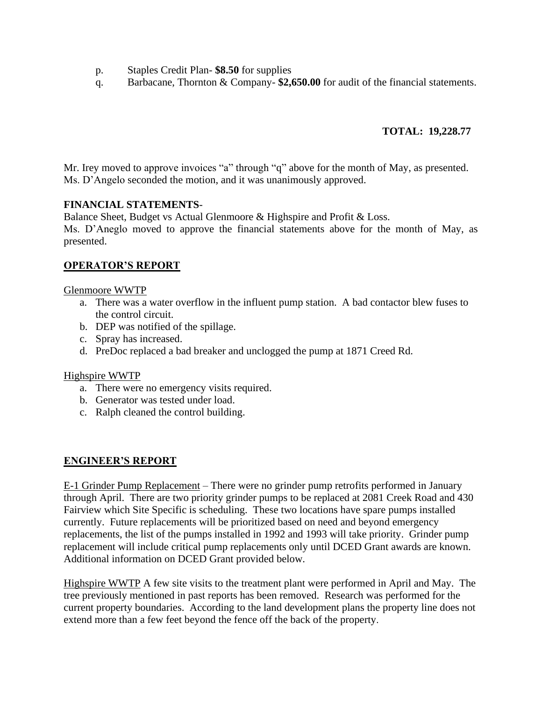- p. Staples Credit Plan- **\$8.50** for supplies
- q. Barbacane, Thornton & Company- **\$2,650.00** for audit of the financial statements.

# **TOTAL: 19,228.77**

Mr. Irey moved to approve invoices "a" through "q" above for the month of May, as presented. Ms. D'Angelo seconded the motion, and it was unanimously approved.

### **FINANCIAL STATEMENTS**-

Balance Sheet, Budget vs Actual Glenmoore & Highspire and Profit & Loss. Ms. D'Aneglo moved to approve the financial statements above for the month of May, as presented.

# **OPERATOR'S REPORT**

#### Glenmoore WWTP

- a. There was a water overflow in the influent pump station. A bad contactor blew fuses to the control circuit.
- b. DEP was notified of the spillage.
- c. Spray has increased.
- d. PreDoc replaced a bad breaker and unclogged the pump at 1871 Creed Rd.

### Highspire WWTP

- a. There were no emergency visits required.
- b. Generator was tested under load.
- c. Ralph cleaned the control building.

### **ENGINEER'S REPORT**

E-1 Grinder Pump Replacement – There were no grinder pump retrofits performed in January through April. There are two priority grinder pumps to be replaced at 2081 Creek Road and 430 Fairview which Site Specific is scheduling. These two locations have spare pumps installed currently. Future replacements will be prioritized based on need and beyond emergency replacements, the list of the pumps installed in 1992 and 1993 will take priority. Grinder pump replacement will include critical pump replacements only until DCED Grant awards are known. Additional information on DCED Grant provided below.

Highspire WWTP A few site visits to the treatment plant were performed in April and May. The tree previously mentioned in past reports has been removed. Research was performed for the current property boundaries. According to the land development plans the property line does not extend more than a few feet beyond the fence off the back of the property.